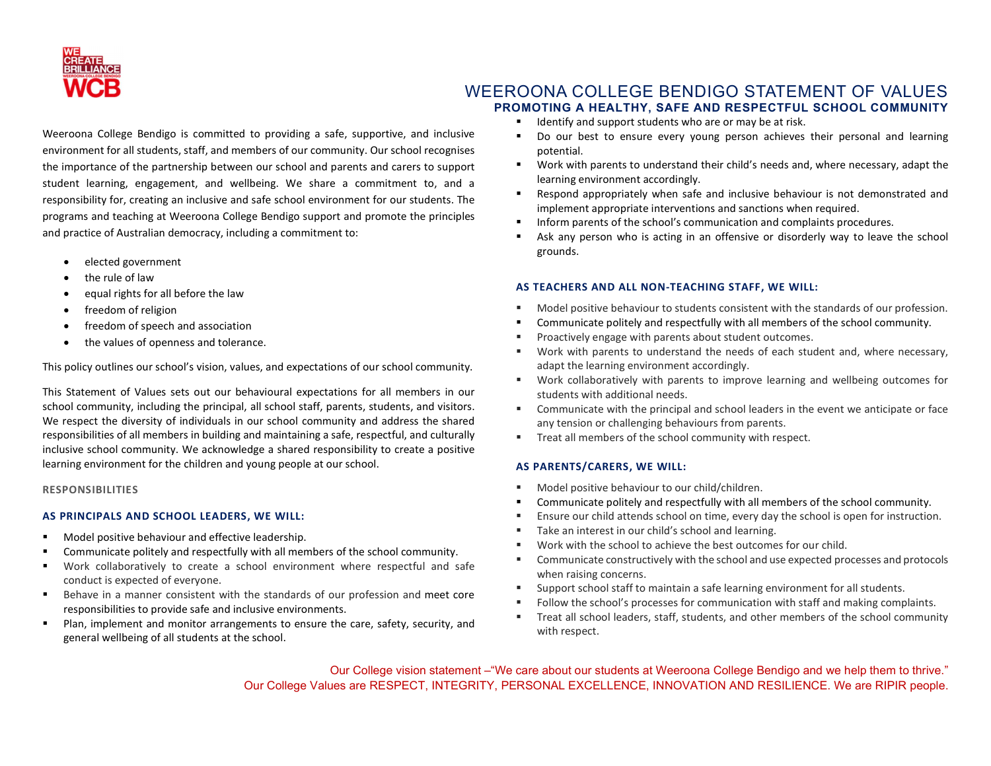

# WEEROONA COLLEGE BENDIGO STATEMENT OF VALUES PROMOTING A HEALTHY, SAFE AND RESPECTFUL SCHOOL COMMUNITY

- Identify and support students who are or may be at risk.
- Do our best to ensure every young person achieves their personal and learning potential.
- Work with parents to understand their child's needs and, where necessary, adapt the learning environment accordingly.
- Respond appropriately when safe and inclusive behaviour is not demonstrated and implement appropriate interventions and sanctions when required.
- **Inform parents of the school's communication and complaints procedures.**
- Ask any person who is acting in an offensive or disorderly way to leave the school grounds.

### AS TEACHERS AND ALL NON-TEACHING STAFF, WE WILL:

- Model positive behaviour to students consistent with the standards of our profession.
- Communicate politely and respectfully with all members of the school community.
- Proactively engage with parents about student outcomes.
- Work with parents to understand the needs of each student and, where necessary, adapt the learning environment accordingly.
- Work collaboratively with parents to improve learning and wellbeing outcomes for students with additional needs.
- Communicate with the principal and school leaders in the event we anticipate or face any tension or challenging behaviours from parents.
- Treat all members of the school community with respect.

## AS PARENTS/CARERS, WE WILL:

- Model positive behaviour to our child/children.
- Communicate politely and respectfully with all members of the school community.
- Ensure our child attends school on time, every day the school is open for instruction.
- Take an interest in our child's school and learning.
- Work with the school to achieve the best outcomes for our child.
- Communicate constructively with the school and use expected processes and protocols when raising concerns.
- **Support school staff to maintain a safe learning environment for all students.**
- Follow the school's processes for communication with staff and making complaints.
- Treat all school leaders, staff, students, and other members of the school community with respect.

Our College vision statement –"We care about our students at Weeroona College Bendigo and we help them to thrive." Our College Values are RESPECT, INTEGRITY, PERSONAL EXCELLENCE, INNOVATION AND RESILIENCE. We are RIPIR people.

Weeroona College Bendigo is committed to providing a safe, supportive, and inclusive environment for all students, staff, and members of our community. Our school recognises the importance of the partnership between our school and parents and carers to support student learning, engagement, and wellbeing. We share a commitment to, and a responsibility for, creating an inclusive and safe school environment for our students. The programs and teaching at Weeroona College Bendigo support and promote the principles and practice of Australian democracy, including a commitment to:

- elected government
- the rule of law
- equal rights for all before the law
- freedom of religion
- freedom of speech and association
- the values of openness and tolerance.

This policy outlines our school's vision, values, and expectations of our school community.

This Statement of Values sets out our behavioural expectations for all members in our school community, including the principal, all school staff, parents, students, and visitors. We respect the diversity of individuals in our school community and address the shared responsibilities of all members in building and maintaining a safe, respectful, and culturally inclusive school community. We acknowledge a shared responsibility to create a positive learning environment for the children and young people at our school.

### RESPONSIBILITIES

# AS PRINCIPALS AND SCHOOL LEADERS, WE WILL:

- **Model positive behaviour and effective leadership.**
- Communicate politely and respectfully with all members of the school community.
- Work collaboratively to create a school environment where respectful and safe conduct is expected of everyone.
- Behave in a manner consistent with the standards of our profession and meet core responsibilities to provide safe and inclusive environments.
- Plan, implement and monitor arrangements to ensure the care, safety, security, and general wellbeing of all students at the school.